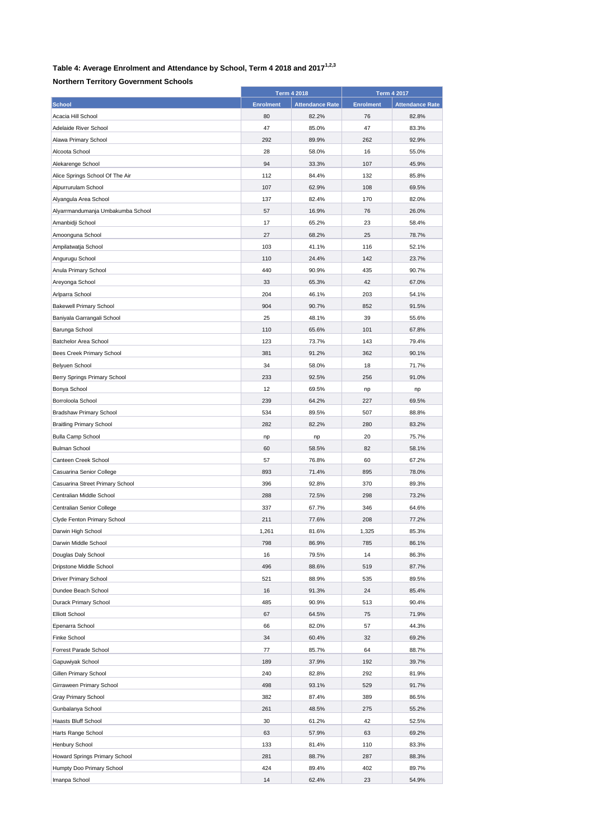## **Table 4: Average Enrolment and Attendance by School, Term 4 2018 and 20171,2,3**

## **Northern Territory Government Schools**

|                                   | <b>Term 4 2018</b> |                        | <b>Term 4 2017</b> |                        |
|-----------------------------------|--------------------|------------------------|--------------------|------------------------|
| <b>School</b>                     | <b>Enrolment</b>   | <b>Attendance Rate</b> | <b>Enrolment</b>   | <b>Attendance Rate</b> |
| Acacia Hill School                | 80                 | 82.2%                  | 76                 | 82.8%                  |
| Adelaide River School             | 47                 | 85.0%                  | 47                 | 83.3%                  |
| Alawa Primary School              | 292                | 89.9%                  | 262                | 92.9%                  |
| Alcoota School                    | 28                 | 58.0%                  | 16                 | 55.0%                  |
| Alekarenge School                 | 94                 | 33.3%                  | 107                | 45.9%                  |
| Alice Springs School Of The Air   | 112                | 84.4%                  | 132                | 85.8%                  |
| Alpurrurulam School               | 107                | 62.9%                  | 108                | 69.5%                  |
| Alyangula Area School             | 137                | 82.4%                  | 170                | 82.0%                  |
| Alyarrmandumanja Umbakumba School | 57                 | 16.9%                  | 76                 | 26.0%                  |
| Amanbidji School                  | 17                 | 65.2%                  | 23                 | 58.4%                  |
| Amoonguna School                  | 27                 | 68.2%                  | 25                 | 78.7%                  |
| Ampilatwatja School               | 103                | 41.1%                  | 116                | 52.1%                  |
| Angurugu School                   | 110                | 24.4%                  | 142                | 23.7%                  |
| Anula Primary School              | 440                | 90.9%                  | 435                | 90.7%                  |
| Areyonga School                   | 33                 | 65.3%                  | 42                 | 67.0%                  |
| Arlparra School                   | 204                | 46.1%                  | 203                | 54.1%                  |
| <b>Bakewell Primary School</b>    | 904                | 90.7%                  | 852                | 91.5%                  |
| Baniyala Garrangali School        | 25                 | 48.1%                  | 39                 | 55.6%                  |
| Barunga School                    | 110                | 65.6%                  | 101                | 67.8%                  |
| Batchelor Area School             | 123                | 73.7%                  | 143                | 79.4%                  |
|                                   |                    |                        |                    |                        |
| Bees Creek Primary School         | 381                | 91.2%                  | 362                | 90.1%                  |
| Belyuen School                    | 34                 | 58.0%                  | 18                 | 71.7%                  |
| Berry Springs Primary School      | 233                | 92.5%                  | 256                | 91.0%                  |
| Bonya School                      | 12                 | 69.5%                  | np                 | np                     |
| Borroloola School                 | 239                | 64.2%                  | 227                | 69.5%                  |
| <b>Bradshaw Primary School</b>    | 534                | 89.5%                  | 507                | 88.8%                  |
| <b>Braitling Primary School</b>   | 282                | 82.2%                  | 280                | 83.2%                  |
| <b>Bulla Camp School</b>          | np                 | np                     | 20                 | 75.7%                  |
| <b>Bulman School</b>              | 60                 | 58.5%                  | 82                 | 58.1%                  |
| Canteen Creek School              | 57                 | 76.8%                  | 60                 | 67.2%                  |
| Casuarina Senior College          | 893                | 71.4%                  | 895                | 78.0%                  |
| Casuarina Street Primary School   | 396                | 92.8%                  | 370                | 89.3%                  |
| Centralian Middle School          | 288                | 72.5%                  | 298                | 73.2%                  |
| Centralian Senior College         | 337                | 67.7%                  | 346                | 64.6%                  |
| Clyde Fenton Primary School       | 211                | 77.6%                  | 208                | 77.2%                  |
| Darwin High School                | 1,261              | 81.6%                  | 1,325              | 85.3%                  |
| Darwin Middle School              | 798                | 86.9%                  | 785                | 86.1%                  |
| Douglas Daly School               | 16                 | 79.5%                  | 14                 | 86.3%                  |
| Dripstone Middle School           | 496                | 88.6%                  | 519                | 87.7%                  |
| <b>Driver Primary School</b>      | 521                | 88.9%                  | 535                | 89.5%                  |
| Dundee Beach School               | 16                 | 91.3%                  | 24                 | 85.4%                  |
| <b>Durack Primary School</b>      | 485                | 90.9%                  | 513                | 90.4%                  |
| <b>Elliott School</b>             | 67                 | 64.5%                  | 75                 | 71.9%                  |
| Epenarra School                   | 66                 | 82.0%                  | 57                 | 44.3%                  |
| Finke School                      | 34                 | 60.4%                  | 32                 | 69.2%                  |
| Forrest Parade School             | 77                 | 85.7%                  | 64                 | 88.7%                  |
| Gapuwiyak School                  | 189                | 37.9%                  | 192                | 39.7%                  |
| Gillen Primary School             | 240                | 82.8%                  | 292                | 81.9%                  |
| Girraween Primary School          | 498                | 93.1%                  | 529                | 91.7%                  |
| Gray Primary School               | 382                | 87.4%                  | 389                | 86.5%                  |
| Gunbalanya School                 | 261                | 48.5%                  | 275                | 55.2%                  |
| Haasts Bluff School               | 30                 | 61.2%                  | 42                 | 52.5%                  |
| Harts Range School                | 63                 | 57.9%                  | 63                 | 69.2%                  |
| Henbury School                    | 133                | 81.4%                  | 110                | 83.3%                  |
| Howard Springs Primary School     | 281                | 88.7%                  | 287                | 88.3%                  |
| Humpty Doo Primary School         | 424                | 89.4%                  | 402                | 89.7%                  |
| Imanpa School                     | 14                 | 62.4%                  | 23                 | 54.9%                  |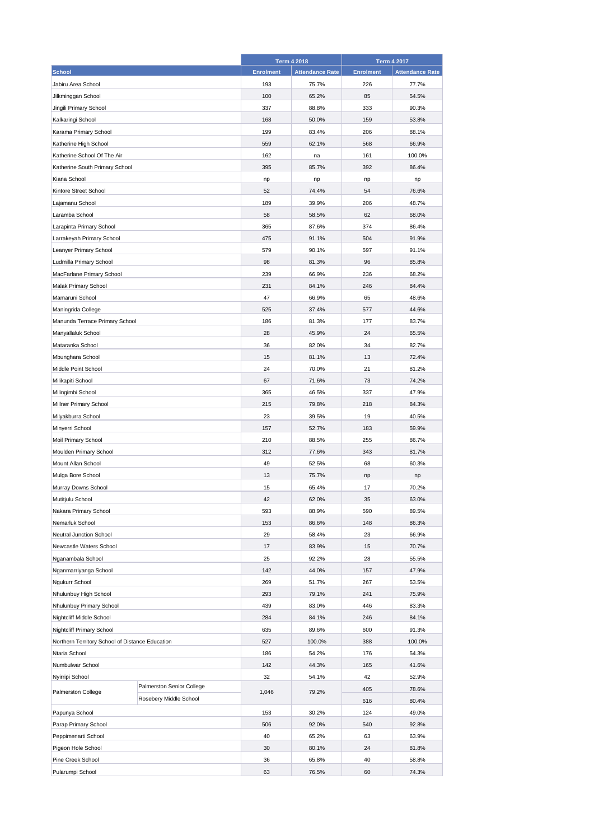|                                                 |                           |                  | <b>Term 4 2018</b>     |                  | <b>Term 4 2017</b>     |  |
|-------------------------------------------------|---------------------------|------------------|------------------------|------------------|------------------------|--|
| <b>School</b>                                   |                           | <b>Enrolment</b> | <b>Attendance Rate</b> | <b>Enrolment</b> | <b>Attendance Rate</b> |  |
| Jabiru Area School                              |                           | 193              | 75.7%                  | 226              | 77.7%                  |  |
| Jilkminggan School                              |                           | 100              | 65.2%                  | 85               | 54.5%                  |  |
| Jingili Primary School                          |                           | 337              | 88.8%                  | 333              | 90.3%                  |  |
| Kalkaringi School                               |                           | 168              | 50.0%                  | 159              | 53.8%                  |  |
| Karama Primary School                           |                           | 199              | 83.4%                  | 206              | 88.1%                  |  |
| Katherine High School                           |                           | 559              | 62.1%                  | 568              | 66.9%                  |  |
| Katherine School Of The Air                     |                           | 162              | na                     | 161              | 100.0%                 |  |
| Katherine South Primary School                  |                           | 395              | 85.7%                  | 392              | 86.4%                  |  |
| Kiana School                                    |                           | np               | np                     | np               | np                     |  |
| Kintore Street School                           |                           | 52               | 74.4%                  | 54               | 76.6%                  |  |
| Lajamanu School                                 |                           | 189              | 39.9%                  | 206              | 48.7%                  |  |
| Laramba School                                  |                           | 58               | 58.5%                  | 62               | 68.0%                  |  |
| Larapinta Primary School                        |                           | 365              | 87.6%                  | 374              | 86.4%                  |  |
| Larrakeyah Primary School                       |                           | 475              | 91.1%                  | 504              | 91.9%                  |  |
| Leanyer Primary School                          |                           | 579              | 90.1%                  | 597              | 91.1%                  |  |
| Ludmilla Primary School                         |                           | 98               | 81.3%                  | 96               | 85.8%                  |  |
| MacFarlane Primary School                       |                           | 239              | 66.9%                  | 236              | 68.2%                  |  |
|                                                 |                           | 231              | 84.1%                  | 246              | 84.4%                  |  |
| <b>Malak Primary School</b>                     |                           |                  |                        |                  |                        |  |
| Mamaruni School                                 |                           | 47               | 66.9%                  | 65               | 48.6%                  |  |
| Maningrida College                              |                           | 525              | 37.4%                  | 577              | 44.6%                  |  |
| Manunda Terrace Primary School                  |                           | 186              | 81.3%                  | 177              | 83.7%                  |  |
| Manyallaluk School                              |                           | 28               | 45.9%                  | 24               | 65.5%                  |  |
| Mataranka School                                |                           | 36               | 82.0%                  | 34               | 82.7%                  |  |
| Mbunghara School                                |                           | 15               | 81.1%                  | 13               | 72.4%                  |  |
| Middle Point School                             |                           | 24               | 70.0%                  | 21               | 81.2%                  |  |
| Milikapiti School                               |                           | 67               | 71.6%                  | 73               | 74.2%                  |  |
| Milingimbi School                               |                           | 365              | 46.5%                  | 337              | 47.9%                  |  |
| Millner Primary School                          |                           | 215              | 79.8%                  | 218              | 84.3%                  |  |
| Milyakburra School                              |                           | 23               | 39.5%                  | 19               | 40.5%                  |  |
| Minyerri School                                 |                           | 157              | 52.7%                  | 183              | 59.9%                  |  |
| Moil Primary School                             |                           | 210              | 88.5%                  | 255              | 86.7%                  |  |
| Moulden Primary School                          |                           | 312              | 77.6%                  | 343              | 81.7%                  |  |
| Mount Allan School                              |                           | 49               | 52.5%                  | 68               | 60.3%                  |  |
| Mulga Bore School                               |                           | 13               | 75.7%                  | np               | np                     |  |
| Murray Downs School                             |                           | 15               | 65.4%                  | 17               | 70.2%                  |  |
| Mutitjulu School                                |                           | 42               | 62.0%                  | 35               | 63.0%                  |  |
| Nakara Primary School                           |                           | 593              | 88.9%                  | 590              | 89.5%                  |  |
| Nemarluk School                                 |                           | 153              | 86.6%                  | 148              | 86.3%                  |  |
| Neutral Junction School                         |                           | 29               | 58.4%                  | 23               | 66.9%                  |  |
| Newcastle Waters School                         |                           | 17               | 83.9%                  | 15               | 70.7%                  |  |
| Nganambala School                               |                           | 25               | 92.2%                  | 28               | 55.5%                  |  |
| Nganmarriyanga School                           |                           | 142              | 44.0%                  | 157              | 47.9%                  |  |
| Ngukurr School                                  |                           | 269              | 51.7%                  | 267              | 53.5%                  |  |
| Nhulunbuy High School                           |                           | 293              | 79.1%                  | 241              | 75.9%                  |  |
| Nhulunbuy Primary School                        |                           | 439              | 83.0%                  | 446              | 83.3%                  |  |
| Nightcliff Middle School                        |                           | 284              | 84.1%                  | 246              | 84.1%                  |  |
| Nightcliff Primary School                       |                           | 635              | 89.6%                  | 600              | 91.3%                  |  |
| Northern Territory School of Distance Education |                           | 527              | 100.0%                 | 388              | 100.0%                 |  |
| Ntaria School                                   |                           | 186              | 54.2%                  | 176              | 54.3%                  |  |
| Numbulwar School                                |                           | 142              | 44.3%                  | 165              | 41.6%                  |  |
| Nyirripi School                                 |                           | 32               | 54.1%                  | 42               | 52.9%                  |  |
| Palmerston College                              | Palmerston Senior College | 1,046            | 79.2%                  | 405              | 78.6%                  |  |
|                                                 | Rosebery Middle School    |                  |                        | 616              | 80.4%                  |  |
| Papunya School                                  |                           | 153              | 30.2%                  | 124              | 49.0%                  |  |
| Parap Primary School                            |                           | 506              | 92.0%                  | 540              | 92.8%                  |  |
| Peppimenarti School                             |                           | 40               | 65.2%                  | 63               | 63.9%                  |  |
| Pigeon Hole School                              |                           | 30               | 80.1%                  | 24               | 81.8%                  |  |
| Pine Creek School                               |                           | 36               | 65.8%                  | 40               | 58.8%                  |  |
| Pularumpi School                                |                           | 63               | 76.5%                  | 60               | 74.3%                  |  |